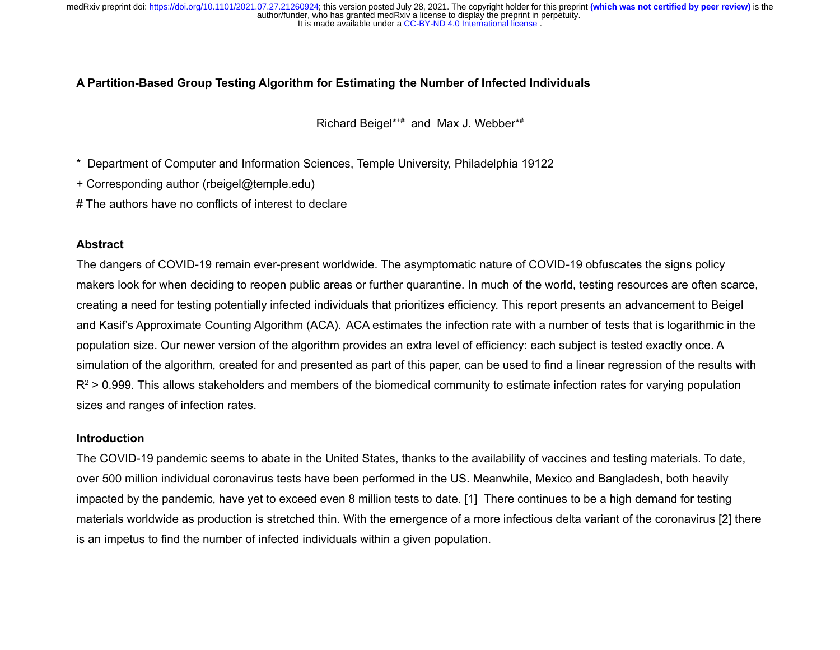# **A Partition-Based Group Testing Algorithm for Estimating the Number of Infected Individuals**

Richard Beigel\*+# and Max J. Webber\*#

\* Department of Computer and Information Sciences, Temple University, Philadelphia 19122

+ Corresponding author (rbeigel@temple.edu)

# The authors have no conflicts of interest to declare

# **Abstract**

The dangers of COVID-19 remain ever-present worldwide. The asymptomatic nature of COVID-19 obfuscates the signs policy makers look for when deciding to reopen public areas or further quarantine. In much of the world, testing resources are often scarce, creating a need for testing potentially infected individuals that prioritizes efficiency. This report presents an advancement to Beigel and Kasif's Approximate Counting Algorithm (ACA). ACA estimates the infection rate with a number of tests that is logarithmic in the population size. Our newer version of the algorithm provides an extra level of efficiency: each subject is tested exactly once. A simulation of the algorithm, created for and presented as part of this paper, can be used to find a linear regression of the results with  $R^2$  > 0.999. This allows stakeholders and members of the biomedical community to estimate infection rates for varying population sizes and ranges of infection rates.

### **Introduction**

The COVID-19 pandemic seems to abate in the United States, thanks to the availability of vaccines and testing materials. To date, over 500 million individual coronavirus tests have been performed in the US. Meanwhile, Mexico and Bangladesh, both heavily impacted by the pandemic, have yet to exceed even 8 million tests to date. [1] There continues to be a high demand for testing materials worldwide as production is stretched thin. With the emergence of a more infectious delta variant of the coronavirus [2] there is an impetus to find the number of infected individuals within a given population.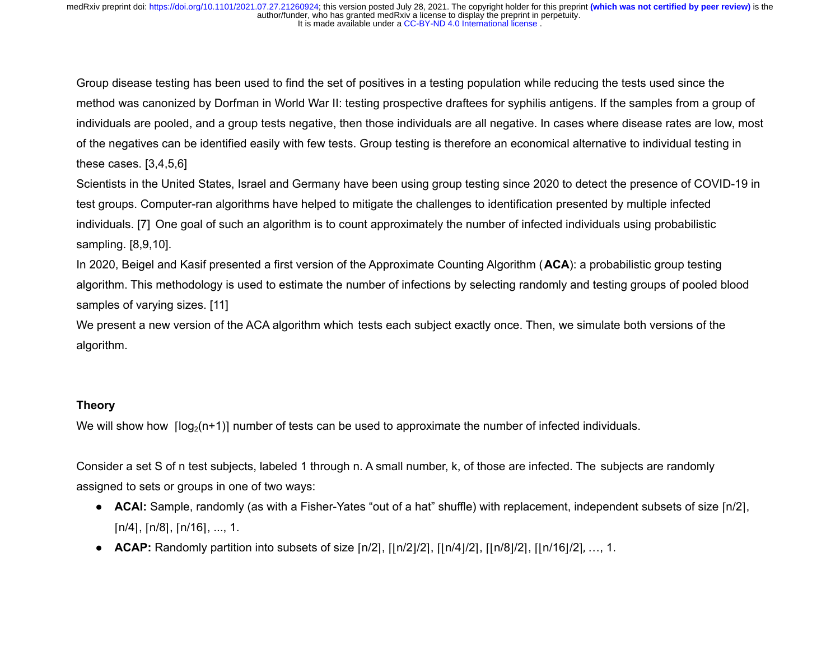Group disease testing has been used to find the set of positives in a testing population while reducing the tests used since the method was canonized by Dorfman in World War II: testing prospective draftees for syphilis antigens. If the samples from a group of individuals are pooled, and a group tests negative, then those individuals are all negative. In cases where disease rates are low, most of the negatives can be identified easily with few tests. Group testing is therefore an economical alternative to individual testing in these cases. [3,4,5,6]

Scientists in the United States, Israel and Germany have been using group testing since 2020 to detect the presence of COVID-19 in test groups. Computer-ran algorithms have helped to mitigate the challenges to identification presented by multiple infected individuals. [7] One goal of such an algorithm is to count approximately the number of infected individuals using probabilistic sampling. [8,9,10].

In 2020, Beigel and Kasif presented a first version of the Approximate Counting Algorithm (**ACA**): a probabilistic group testing algorithm. This methodology is used to estimate the number of infections by selecting randomly and testing groups of pooled blood samples of varying sizes. [11]

We present a new version of the ACA algorithm which tests each subject exactly once. Then, we simulate both versions of the algorithm.

### **Theory**

We will show how  $\lceil \log_2(n+1) \rceil$  number of tests can be used to approximate the number of infected individuals.

Consider a set S of n test subjects, labeled 1 through n. A small number, k, of those are infected. The subjects are randomly assigned to sets or groups in one of two ways:

- **ACAI:** Sample, randomly (as with a Fisher-Yates "out of a hat" shuffle) with replacement, independent subsets of size [n/2],  $[n/4]$ ,  $[n/8]$ ,  $[n/16]$ , ..., 1.
- **ACAP:** Randomly partition into subsets of size [n/2], [|n/2|/2], [|n/4|/2], [|n/8|/2], [|n/16|/2], ..., 1.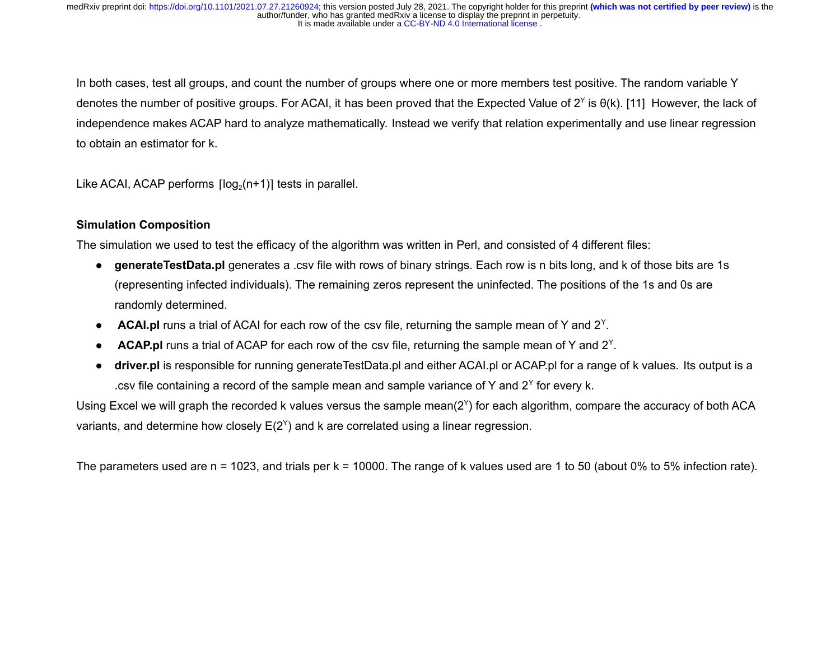In both cases, test all groups, and count the number of groups where one or more members test positive. The random variable Y denotes the number of positive groups. For ACAI, it has been proved that the Expected Value of 2<sup>Y</sup> is θ(k). [11] However, the lack of independence makes ACAP hard to analyze mathematically. Instead we verify that relation experimentally and use linear regression to obtain an estimator for k.

Like ACAI, ACAP performs  $\lceil \log_2(n+1) \rceil$  tests in parallel.

# **Simulation Composition**

The simulation we used to test the efficacy of the algorithm was written in Perl, and consisted of 4 different files:

- **generateTestData.pl** generates a .csv file with rows of binary strings. Each row is n bits long, and k of those bits are 1s (representing infected individuals). The remaining zeros represent the uninfected. The positions of the 1s and 0s are randomly determined.
- **ACAI.pl** runs a trial of ACAI for each row of the csv file, returning the sample mean of Y and 2<sup>Y</sup>.
- **ACAP.pl** runs a trial of ACAP for each row of the csv file, returning the sample mean of Y and 2<sup>Y</sup>.
- **driver.pl** is responsible for running generateTestData.pl and either ACAI.pl or ACAP.pl for a range of k values. Its output is a .csv file containing a record of the sample mean and sample variance of Y and  $2^{\gamma}$  for every k.

Using Excel we will graph the recorded k values versus the sample mean(2<sup>Y</sup>) for each algorithm, compare the accuracy of both ACA variants, and determine how closely  $E(2^{\gamma})$  and k are correlated using a linear regression.

The parameters used are n = 1023, and trials per k = 10000. The range of k values used are 1 to 50 (about 0% to 5% infection rate).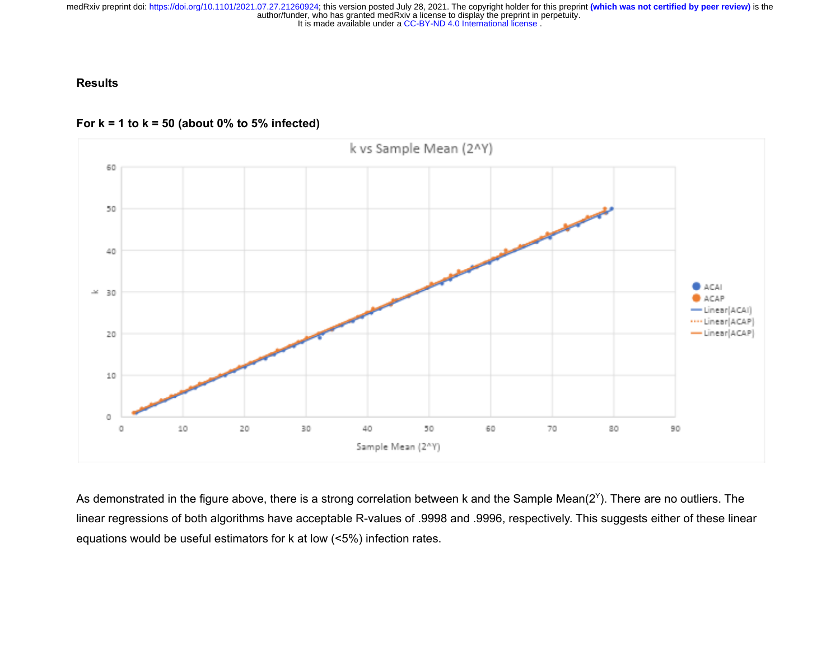**Results**





As demonstrated in the figure above, there is a strong correlation between k and the Sample Mean(2<sup>Y</sup>). There are no outliers. The linear regressions of both algorithms have acceptable R-values of .9998 and .9996, respectively. This suggests either of these linear equations would be useful estimators for k at low (<5%) infection rates.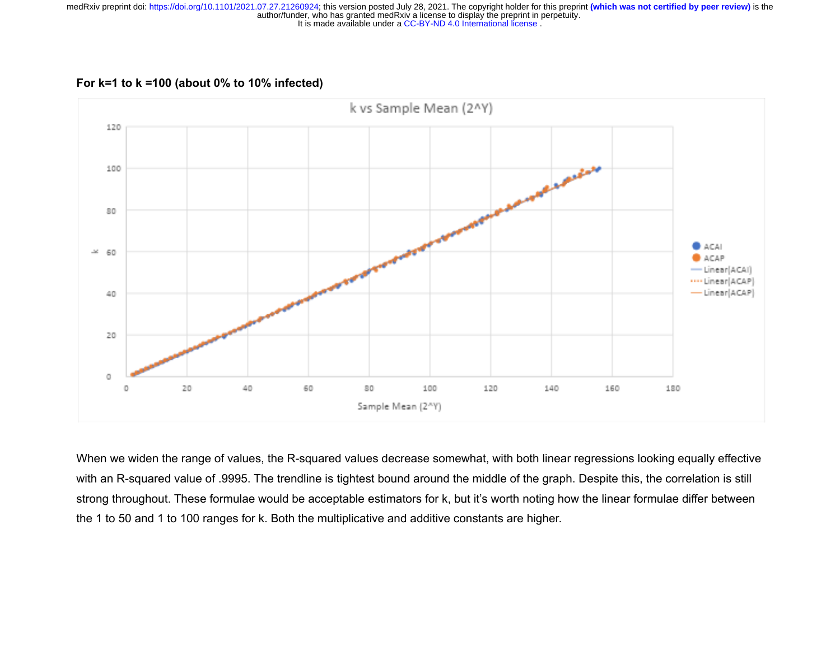**For k=1 to k =100 (about 0% to 10% infected)**



When we widen the range of values, the R-squared values decrease somewhat, with both linear regressions looking equally effective with an R-squared value of .9995. The trendline is tightest bound around the middle of the graph. Despite this, the correlation is still strong throughout. These formulae would be acceptable estimators for k, but it's worth noting how the linear formulae differ between the 1 to 50 and 1 to 100 ranges for k. Both the multiplicative and additive constants are higher.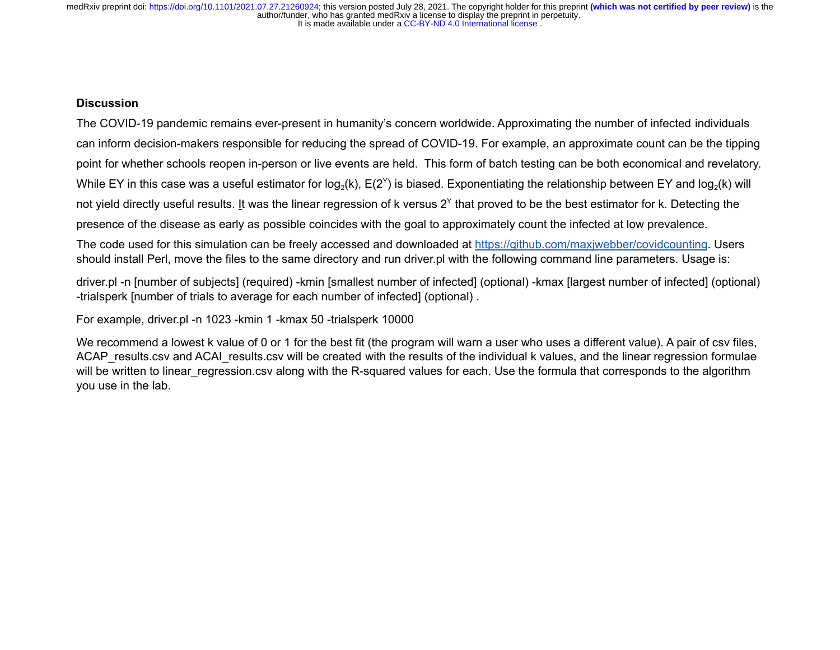# **Discussion**

The COVID-19 pandemic remains ever-present in humanity's concern worldwide. Approximating the number of infected individuals can inform decision-makers responsible for reducing the spread of COVID-19. For example, an approximate count can be the tipping point for whether schools reopen in-person or live events are held. This form of batch testing can be both economical and revelatory. While EY in this case was a useful estimator for log<sub>2</sub>(k), E(2<sup>Y</sup>) is biased. Exponentiating the relationship between EY and log<sub>2</sub>(k) will not yield directly useful results. <u>I</u>t was the linear regression of k versus 2<sup>Y</sup> that proved to be the best estimator for k. Detecting the presence of the disease as early as possible coincides with the goal to approximately count the infected at low prevalence.

The code used for this simulation can be freely accessed and downloaded at <https://github.com/maxjwebber/covidcounting>. Users should install Perl, move the files to the same directory and run driver.pl with the following command line parameters. Usage is:

driver.pl -n [number of subjects] (required) -kmin [smallest number of infected] (optional) -kmax [largest number of infected] (optional) -trialsperk [number of trials to average for each number of infected] (optional) .

For example, driver.pl -n 1023 -kmin 1 -kmax 50 -trialsperk 10000

We recommend a lowest k value of 0 or 1 for the best fit (the program will warn a user who uses a different value). A pair of csv files, ACAP\_results.csv and ACAI\_results.csv will be created with the results of the individual k values, and the linear regression formulae will be written to linear regression.csv along with the R-squared values for each. Use the formula that corresponds to the algorithm you use in the lab.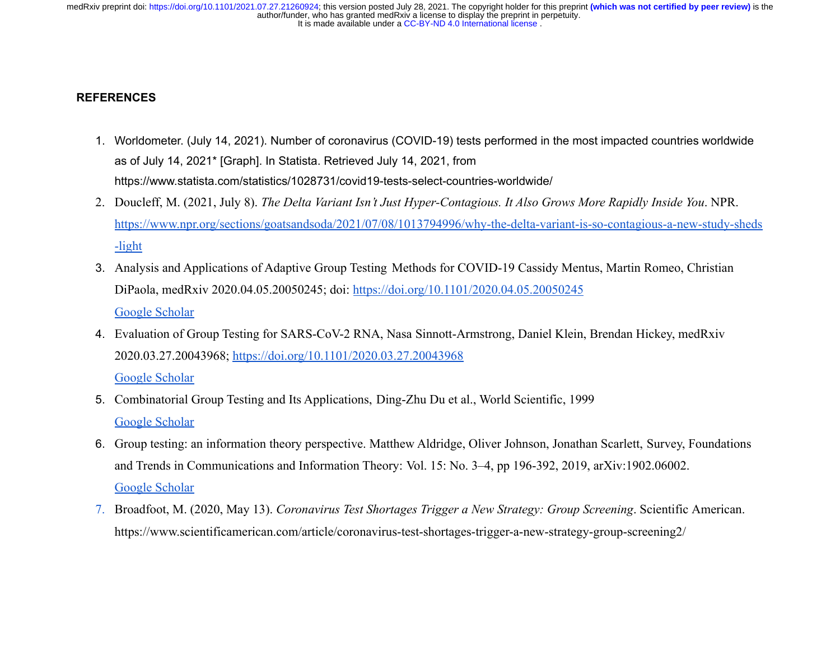# **REFERENCES**

- 1. Worldometer. (July 14, 2021). Number of coronavirus (COVID-19) tests performed in the most impacted countries worldwide as of July 14, 2021\* [Graph]. In Statista. Retrieved July 14, 2021, from https://www.statista.com/statistics/1028731/covid19-tests-select-countries-worldwide/
- 2. Doucleff, M. (2021, July 8). *The Delta Variant Isn't Just Hyper-Contagious. It Also Grows More Rapidly Inside You*. NPR. [https://www.npr.org/sections/goatsandsoda/2021/07/08/1013794996/why-the-delta-variant-is-so-contagious-a-new-study-sheds](https://www.npr.org/sections/goatsandsoda/2021/07/08/1013794996/why-the-delta-variant-is-so-contagious-a-new-study-sheds-light) [-light](https://www.npr.org/sections/goatsandsoda/2021/07/08/1013794996/why-the-delta-variant-is-so-contagious-a-new-study-sheds-light)
- 3. Analysis and Applications of Adaptive Group Testing Methods for COVID-19 Cassidy Mentus, Martin Romeo, Christian DiPaola, medRxiv 2020.04.05.20050245; doi: <https://doi.org/10.1101/2020.04.05.20050245> [Google Scholar](https://www.medrxiv.org/lookup/google-scholar?link_type=googlescholar&gs_type=article&q_txt=Analysis+and+Applications+of+Adaptive+Group+Testing+Methods+for+COVID-19+Cassidy+Mentus%2C+Martin+Romeo%2C+Christian+DiPaola%2C+medRxiv+2020.04.05.20050245%3B+doi%3A+https%3A%2F%2Fdoi.org%2F10.1101%2F2020.04.05.20050245)
- 4. Evaluation of Group Testing for SARS-CoV-2 RNA, Nasa Sinnott-Armstrong, Daniel Klein, Brendan Hickey, medRxiv 2020.03.27.20043968; <https://doi.org/10.1101/2020.03.27.20043968>

[Google Scholar](https://www.medrxiv.org/lookup/google-scholar?link_type=googlescholar&gs_type=article&q_txt=Evaluation+of+Group+Testing+for+SARS-CoV-2+RNA%2C+Nasa+Sinnott-Armstrong%2C+Daniel+Klein%2C+Brendan+Hickey%2C+medRxiv+2020.03.27.20043968%3B+https%3A%2F%2Fdoi.org%2F10.1101%2F2020.03.27.20043968)

- 5. Combinatorial Group Testing and Its Applications, Ding-Zhu Du et al., World Scientific, 1999 [Google Scholar](https://www.medrxiv.org/lookup/google-scholar?link_type=googlescholar&gs_type=article&q_txt=Combinatorial+Group+Testing+and+Its+Applications%2C+Ding-Zhu+Du+et+al.%2C+World+Scientific%2C+1999)
- 6. Group testing: an information theory perspective. Matthew Aldridge, Oliver Johnson, Jonathan Scarlett, Survey, Foundations and Trends in Communications and Information Theory: Vol. 15: No. 3–4, pp 196-392, 2019, arXiv:1902.06002. [Google Scholar](https://www.medrxiv.org/lookup/google-scholar?link_type=googlescholar&gs_type=article&q_txt=Group+testing%3A+an+information+theory+perspective.+Matthew+Aldridge%2C+Oliver+Johnson%2C+Jonathan+Scarlett%2C+Survey%2C+Foundations+and+Trends+in+Communications+and+Information+Theory%3A+Vol.+15%3A+No.+3%E2%80%934%2C+pp+196-392%2C+2019%2C+arXiv%3A1902.06002.)
- 7. Broadfoot, M. (2020, May 13). *Coronavirus Test Shortages Trigger a New Strategy: Group Screening*. Scientific American. https://www.scientificamerican.com/article/coronavirus-test-shortages-trigger-a-new-strategy-group-screening2/